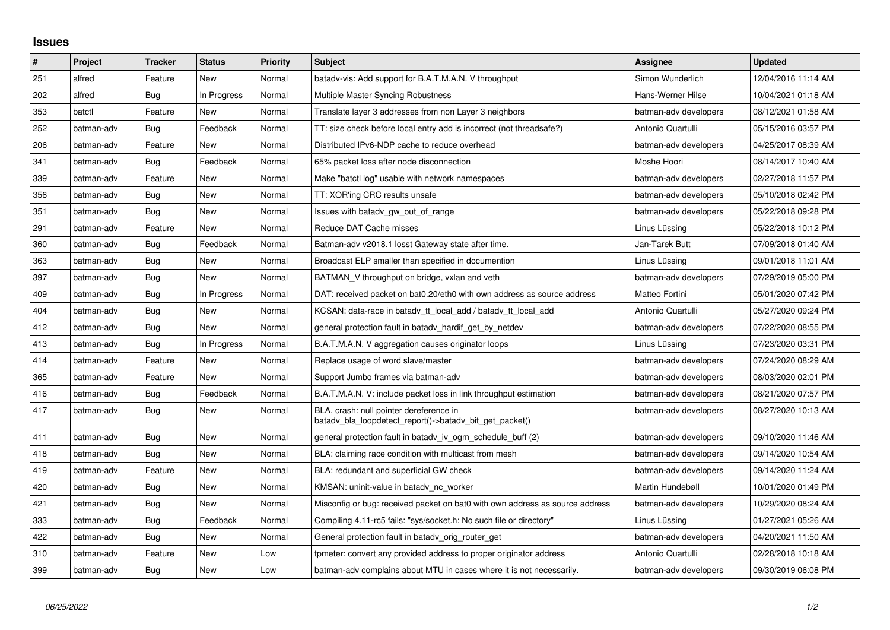## **Issues**

| $\vert$ # | Project    | <b>Tracker</b> | <b>Status</b> | <b>Priority</b> | <b>Subject</b>                                                                                     | Assignee              | <b>Updated</b>      |
|-----------|------------|----------------|---------------|-----------------|----------------------------------------------------------------------------------------------------|-----------------------|---------------------|
| 251       | alfred     | Feature        | <b>New</b>    | Normal          | batady-vis: Add support for B.A.T.M.A.N. V throughput                                              | Simon Wunderlich      | 12/04/2016 11:14 AM |
| 202       | alfred     | Bug            | In Progress   | Normal          | Multiple Master Syncing Robustness                                                                 | Hans-Werner Hilse     | 10/04/2021 01:18 AM |
| 353       | batctl     | Feature        | <b>New</b>    | Normal          | Translate layer 3 addresses from non Layer 3 neighbors                                             | batman-adv developers | 08/12/2021 01:58 AM |
| 252       | batman-adv | Bug            | Feedback      | Normal          | TT: size check before local entry add is incorrect (not threadsafe?)                               | Antonio Quartulli     | 05/15/2016 03:57 PM |
| 206       | batman-adv | Feature        | <b>New</b>    | Normal          | Distributed IPv6-NDP cache to reduce overhead                                                      | batman-adv developers | 04/25/2017 08:39 AM |
| 341       | batman-adv | Bug            | Feedback      | Normal          | 65% packet loss after node disconnection                                                           | Moshe Hoori           | 08/14/2017 10:40 AM |
| 339       | batman-adv | Feature        | New           | Normal          | Make "batctl log" usable with network namespaces                                                   | batman-adv developers | 02/27/2018 11:57 PM |
| 356       | batman-adv | Bug            | New           | Normal          | TT: XOR'ing CRC results unsafe                                                                     | batman-adv developers | 05/10/2018 02:42 PM |
| 351       | batman-adv | <b>Bug</b>     | <b>New</b>    | Normal          | Issues with batady gw out of range                                                                 | batman-adv developers | 05/22/2018 09:28 PM |
| 291       | batman-adv | Feature        | New           | Normal          | Reduce DAT Cache misses                                                                            | Linus Lüssing         | 05/22/2018 10:12 PM |
| 360       | batman-adv | Bug            | Feedback      | Normal          | Batman-adv v2018.1 losst Gateway state after time.                                                 | Jan-Tarek Butt        | 07/09/2018 01:40 AM |
| 363       | batman-adv | Bug            | New           | Normal          | Broadcast ELP smaller than specified in documention                                                | Linus Lüssing         | 09/01/2018 11:01 AM |
| 397       | batman-adv | Bug            | <b>New</b>    | Normal          | BATMAN V throughput on bridge, vxlan and veth                                                      | batman-adv developers | 07/29/2019 05:00 PM |
| 409       | batman-adv | Bug            | In Progress   | Normal          | DAT: received packet on bat0.20/eth0 with own address as source address                            | Matteo Fortini        | 05/01/2020 07:42 PM |
| 404       | batman-adv | Bug            | <b>New</b>    | Normal          | KCSAN: data-race in batady tt local add / batady tt local add                                      | Antonio Quartulli     | 05/27/2020 09:24 PM |
| 412       | batman-adv | Bug            | New           | Normal          | general protection fault in batady_hardif_get_by_netdev                                            | batman-adv developers | 07/22/2020 08:55 PM |
| 413       | batman-adv | Bug            | In Progress   | Normal          | B.A.T.M.A.N. V aggregation causes originator loops                                                 | Linus Lüssing         | 07/23/2020 03:31 PM |
| 414       | batman-adv | Feature        | New           | Normal          | Replace usage of word slave/master                                                                 | batman-adv developers | 07/24/2020 08:29 AM |
| 365       | batman-adv | Feature        | <b>New</b>    | Normal          | Support Jumbo frames via batman-adv                                                                | batman-adv developers | 08/03/2020 02:01 PM |
| 416       | batman-adv | <b>Bug</b>     | Feedback      | Normal          | B.A.T.M.A.N. V: include packet loss in link throughput estimation                                  | batman-adv developers | 08/21/2020 07:57 PM |
| 417       | batman-adv | Bug            | <b>New</b>    | Normal          | BLA, crash: null pointer dereference in<br>batadv_bla_loopdetect_report()->batadv_bit_get_packet() | batman-adv developers | 08/27/2020 10:13 AM |
| 411       | batman-adv | Bug            | New           | Normal          | general protection fault in batady iv ogm_schedule_buff (2)                                        | batman-adv developers | 09/10/2020 11:46 AM |
| 418       | batman-adv | Bug            | New           | Normal          | BLA: claiming race condition with multicast from mesh                                              | batman-adv developers | 09/14/2020 10:54 AM |
| 419       | batman-adv | Feature        | New           | Normal          | BLA: redundant and superficial GW check                                                            | batman-adv developers | 09/14/2020 11:24 AM |
| 420       | batman-adv | <b>Bug</b>     | New           | Normal          | KMSAN: uninit-value in batady nc worker                                                            | Martin Hundebøll      | 10/01/2020 01:49 PM |
| 421       | batman-adv | Bug            | <b>New</b>    | Normal          | Misconfig or bug: received packet on bat0 with own address as source address                       | batman-adv developers | 10/29/2020 08:24 AM |
| 333       | batman-adv | Bug            | Feedback      | Normal          | Compiling 4.11-rc5 fails: "sys/socket.h: No such file or directory"                                | Linus Lüssing         | 01/27/2021 05:26 AM |
| 422       | batman-adv | Bug            | New           | Normal          | General protection fault in batady orig router get                                                 | batman-adv developers | 04/20/2021 11:50 AM |
| 310       | batman-adv | Feature        | New           | Low             | tpmeter: convert any provided address to proper originator address                                 | Antonio Quartulli     | 02/28/2018 10:18 AM |
| 399       | batman-adv | Bug            | New           | Low             | batman-adv complains about MTU in cases where it is not necessarily.                               | batman-adv developers | 09/30/2019 06:08 PM |